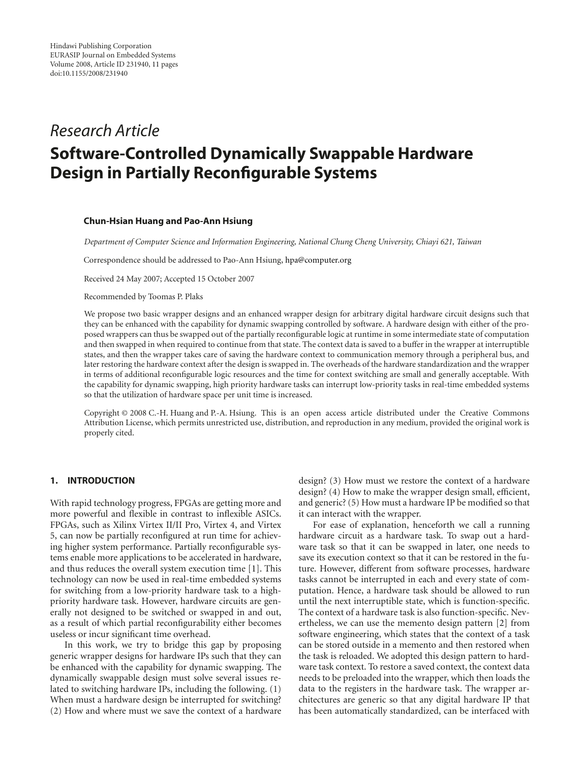# *Research Article*

# **Software-Controlled Dynamically Swappable Hardware Design in Partially Reconfigurable Systems**

### **Chun-Hsian Huang and Pao-Ann Hsiung**

*Department of Computer Science and Information Engineering, National Chung Cheng University, Chiayi 621, Taiwan*

Correspondence should be addressed to Pao-Ann Hsiung, hpa@computer.org

Received 24 May 2007; Accepted 15 October 2007

Recommended by Toomas P. Plaks

We propose two basic wrapper designs and an enhanced wrapper design for arbitrary digital hardware circuit designs such that they can be enhanced with the capability for dynamic swapping controlled by software. A hardware design with either of the proposed wrappers can thus be swapped out of the partially reconfigurable logic at runtime in some intermediate state of computation and then swapped in when required to continue from that state. The context data is saved to a buffer in the wrapper at interruptible states, and then the wrapper takes care of saving the hardware context to communication memory through a peripheral bus, and later restoring the hardware context after the design is swapped in. The overheads of the hardware standardization and the wrapper in terms of additional reconfigurable logic resources and the time for context switching are small and generally acceptable. With the capability for dynamic swapping, high priority hardware tasks can interrupt low-priority tasks in real-time embedded systems so that the utilization of hardware space per unit time is increased.

Copyright © 2008 C.-H. Huang and P.-A. Hsiung. This is an open access article distributed under the Creative Commons Attribution License, which permits unrestricted use, distribution, and reproduction in any medium, provided the original work is properly cited.

# **1. INTRODUCTION**

With rapid technology progress, FPGAs are getting more and more powerful and flexible in contrast to inflexible ASICs. FPGAs, such as Xilinx Virtex II/II Pro, Virtex 4, and Virtex 5, can now be partially reconfigured at run time for achieving higher system performance. Partially reconfigurable systems enable more applications to be accelerated in hardware, and thus reduces the overall system execution time [1]. This technology can now be used in real-time embedded systems for switching from a low-priority hardware task to a highpriority hardware task. However, hardware circuits are generally not designed to be switched or swapped in and out, as a result of which partial reconfigurability either becomes useless or incur significant time overhead.

In this work, we try to bridge this gap by proposing generic wrapper designs for hardware IPs such that they can be enhanced with the capability for dynamic swapping. The dynamically swappable design must solve several issues related to switching hardware IPs, including the following. (1) When must a hardware design be interrupted for switching? (2) How and where must we save the context of a hardware design? (3) How must we restore the context of a hardware design? (4) How to make the wrapper design small, efficient, and generic? (5) How must a hardware IP be modified so that it can interact with the wrapper.

For ease of explanation, henceforth we call a running hardware circuit as a hardware task. To swap out a hardware task so that it can be swapped in later, one needs to save its execution context so that it can be restored in the future. However, different from software processes, hardware tasks cannot be interrupted in each and every state of computation. Hence, a hardware task should be allowed to run until the next interruptible state, which is function-specific. The context of a hardware task is also function-specific. Nevertheless, we can use the memento design pattern [2] from software engineering, which states that the context of a task can be stored outside in a memento and then restored when the task is reloaded. We adopted this design pattern to hardware task context. To restore a saved context, the context data needs to be preloaded into the wrapper, which then loads the data to the registers in the hardware task. The wrapper architectures are generic so that any digital hardware IP that has been automatically standardized, can be interfaced with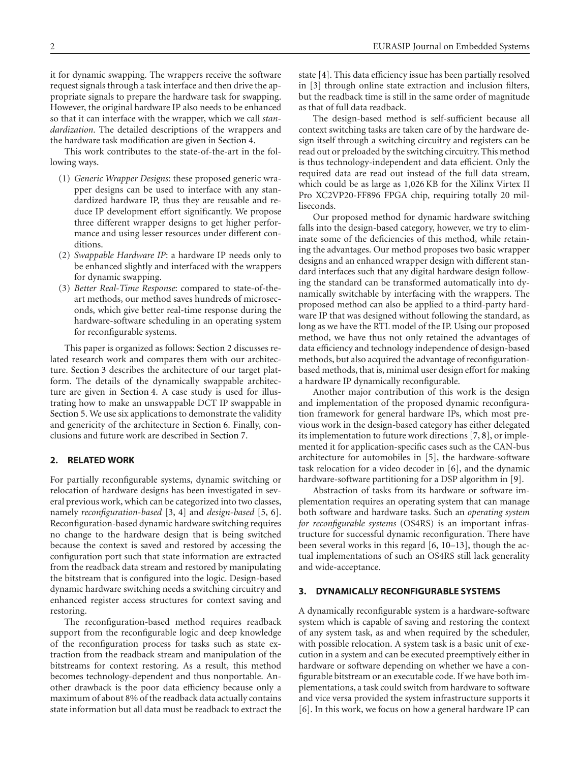it for dynamic swapping. The wrappers receive the software request signals through a task interface and then drive the appropriate signals to prepare the hardware task for swapping. However, the original hardware IP also needs to be enhanced so that it can interface with the wrapper, which we call *standardization*. The detailed descriptions of the wrappers and the hardware task modification are given in Section 4.

This work contributes to the state-of-the-art in the following ways.

- (1) *Generic Wrapper Designs*: these proposed generic wrapper designs can be used to interface with any standardized hardware IP, thus they are reusable and reduce IP development effort significantly. We propose three different wrapper designs to get higher performance and using lesser resources under different conditions.
- (2) *Swappable Hardware IP*: a hardware IP needs only to be enhanced slightly and interfaced with the wrappers for dynamic swapping.
- (3) *Better Real-Time Response*: compared to state-of-theart methods, our method saves hundreds of microseconds, which give better real-time response during the hardware-software scheduling in an operating system for reconfigurable systems.

This paper is organized as follows: Section 2 discusses related research work and compares them with our architecture. Section 3 describes the architecture of our target platform. The details of the dynamically swappable architecture are given in Section 4. A case study is used for illustrating how to make an unswappable DCT IP swappable in Section 5. We use six applications to demonstrate the validity and genericity of the architecture in Section 6. Finally, conclusions and future work are described in Section 7.

# **2. RELATED WORK**

For partially reconfigurable systems, dynamic switching or relocation of hardware designs has been investigated in several previous work, which can be categorized into two classes, namely *reconfiguration-based* [3, 4] and *design-based* [5, 6]. Reconfiguration-based dynamic hardware switching requires no change to the hardware design that is being switched because the context is saved and restored by accessing the configuration port such that state information are extracted from the readback data stream and restored by manipulating the bitstream that is configured into the logic. Design-based dynamic hardware switching needs a switching circuitry and enhanced register access structures for context saving and restoring.

The reconfiguration-based method requires readback support from the reconfigurable logic and deep knowledge of the reconfiguration process for tasks such as state extraction from the readback stream and manipulation of the bitstreams for context restoring. As a result, this method becomes technology-dependent and thus nonportable. Another drawback is the poor data efficiency because only a maximum of about 8% of the readback data actually contains state information but all data must be readback to extract the

state [4]. This data efficiency issue has been partially resolved in [3] through online state extraction and inclusion filters, but the readback time is still in the same order of magnitude as that of full data readback.

The design-based method is self-sufficient because all context switching tasks are taken care of by the hardware design itself through a switching circuitry and registers can be read out or preloaded by the switching circuitry. This method is thus technology-independent and data efficient. Only the required data are read out instead of the full data stream, which could be as large as 1,026 KB for the Xilinx Virtex II Pro XC2VP20-FF896 FPGA chip, requiring totally 20 milliseconds.

Our proposed method for dynamic hardware switching falls into the design-based category, however, we try to eliminate some of the deficiencies of this method, while retaining the advantages. Our method proposes two basic wrapper designs and an enhanced wrapper design with different standard interfaces such that any digital hardware design following the standard can be transformed automatically into dynamically switchable by interfacing with the wrappers. The proposed method can also be applied to a third-party hardware IP that was designed without following the standard, as long as we have the RTL model of the IP. Using our proposed method, we have thus not only retained the advantages of data efficiency and technology independence of design-based methods, but also acquired the advantage of reconfigurationbased methods, that is, minimal user design effort for making a hardware IP dynamically reconfigurable.

Another major contribution of this work is the design and implementation of the proposed dynamic reconfiguration framework for general hardware IPs, which most previous work in the design-based category has either delegated its implementation to future work directions [7, 8], or implemented it for application-specific cases such as the CAN-bus architecture for automobiles in [5], the hardware-software task relocation for a video decoder in [6], and the dynamic hardware-software partitioning for a DSP algorithm in [9].

Abstraction of tasks from its hardware or software implementation requires an operating system that can manage both software and hardware tasks. Such an *operating system for reconfigurable systems* (OS4RS) is an important infrastructure for successful dynamic reconfiguration. There have been several works in this regard [6, 10–13], though the actual implementations of such an OS4RS still lack generality and wide-acceptance.

# **3. DYNAMICALLY RECONFIGURABLE SYSTEMS**

A dynamically reconfigurable system is a hardware-software system which is capable of saving and restoring the context of any system task, as and when required by the scheduler, with possible relocation. A system task is a basic unit of execution in a system and can be executed preemptively either in hardware or software depending on whether we have a configurable bitstream or an executable code. If we have both implementations, a task could switch from hardware to software and vice versa provided the system infrastructure supports it [6]. In this work, we focus on how a general hardware IP can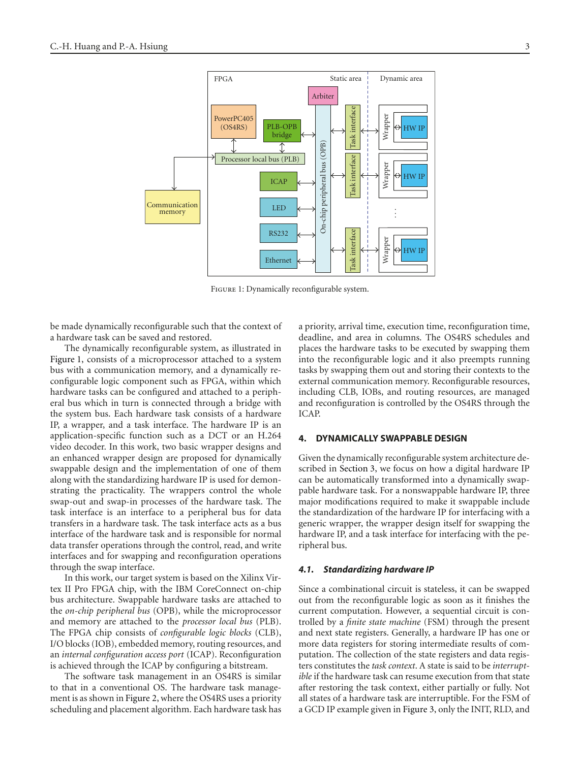

FIGURE 1: Dynamically reconfigurable system.

be made dynamically reconfigurable such that the context of a hardware task can be saved and restored.

The dynamically reconfigurable system, as illustrated in Figure 1, consists of a microprocessor attached to a system bus with a communication memory, and a dynamically reconfigurable logic component such as FPGA, within which hardware tasks can be configured and attached to a peripheral bus which in turn is connected through a bridge with the system bus. Each hardware task consists of a hardware IP, a wrapper, and a task interface. The hardware IP is an application-specific function such as a DCT or an H.264 video decoder. In this work, two basic wrapper designs and an enhanced wrapper design are proposed for dynamically swappable design and the implementation of one of them along with the standardizing hardware IP is used for demonstrating the practicality. The wrappers control the whole swap-out and swap-in processes of the hardware task. The task interface is an interface to a peripheral bus for data transfers in a hardware task. The task interface acts as a bus interface of the hardware task and is responsible for normal data transfer operations through the control, read, and write interfaces and for swapping and reconfiguration operations through the swap interface.

In this work, our target system is based on the Xilinx Virtex II Pro FPGA chip, with the IBM CoreConnect on-chip bus architecture. Swappable hardware tasks are attached to the *on-chip peripheral bus* (OPB), while the microprocessor and memory are attached to the *processor local bus* (PLB). The FPGA chip consists of *configurable logic blocks* (CLB), I/O blocks (IOB), embedded memory, routing resources, and an *internal configuration access port* (ICAP). Reconfiguration is achieved through the ICAP by configuring a bitstream.

The software task management in an OS4RS is similar to that in a conventional OS. The hardware task management is as shown in Figure 2, where the OS4RS uses a priority scheduling and placement algorithm. Each hardware task has a priority, arrival time, execution time, reconfiguration time, deadline, and area in columns. The OS4RS schedules and places the hardware tasks to be executed by swapping them into the reconfigurable logic and it also preempts running tasks by swapping them out and storing their contexts to the external communication memory. Reconfigurable resources, including CLB, IOBs, and routing resources, are managed and reconfiguration is controlled by the OS4RS through the ICAP.

# **4. DYNAMICALLY SWAPPABLE DESIGN**

Given the dynamically reconfigurable system architecture described in Section 3, we focus on how a digital hardware IP can be automatically transformed into a dynamically swappable hardware task. For a nonswappable hardware IP, three major modifications required to make it swappable include the standardization of the hardware IP for interfacing with a generic wrapper, the wrapper design itself for swapping the hardware IP, and a task interface for interfacing with the peripheral bus.

# *4.1. Standardizing hardware IP*

Since a combinational circuit is stateless, it can be swapped out from the reconfigurable logic as soon as it finishes the current computation. However, a sequential circuit is controlled by a *finite state machine* (FSM) through the present and next state registers. Generally, a hardware IP has one or more data registers for storing intermediate results of computation. The collection of the state registers and data registers constitutes the *task context*. A state is said to be *interruptible* if the hardware task can resume execution from that state after restoring the task context, either partially or fully. Not all states of a hardware task are interruptible. For the FSM of a GCD IP example given in Figure 3, only the INIT, RLD, and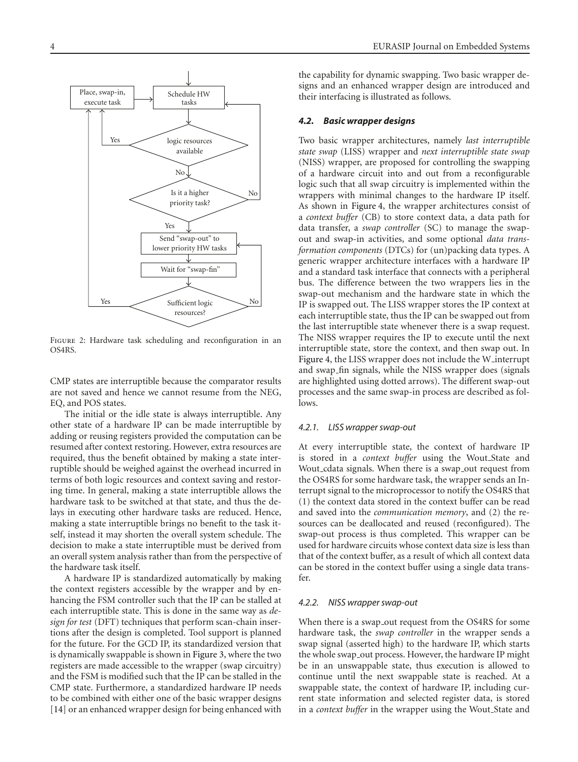

Figure 2: Hardware task scheduling and reconfiguration in an OS4RS.

CMP states are interruptible because the comparator results are not saved and hence we cannot resume from the NEG, EQ, and POS states.

The initial or the idle state is always interruptible. Any other state of a hardware IP can be made interruptible by adding or reusing registers provided the computation can be resumed after context restoring. However, extra resources are required, thus the benefit obtained by making a state interruptible should be weighed against the overhead incurred in terms of both logic resources and context saving and restoring time. In general, making a state interruptible allows the hardware task to be switched at that state, and thus the delays in executing other hardware tasks are reduced. Hence, making a state interruptible brings no benefit to the task itself, instead it may shorten the overall system schedule. The decision to make a state interruptible must be derived from an overall system analysis rather than from the perspective of the hardware task itself.

A hardware IP is standardized automatically by making the context registers accessible by the wrapper and by enhancing the FSM controller such that the IP can be stalled at each interruptible state. This is done in the same way as *design for test* (DFT) techniques that perform scan-chain insertions after the design is completed. Tool support is planned for the future. For the GCD IP, its standardized version that is dynamically swappable is shown in Figure 3, where the two registers are made accessible to the wrapper (swap circuitry) and the FSM is modified such that the IP can be stalled in the CMP state. Furthermore, a standardized hardware IP needs to be combined with either one of the basic wrapper designs [14] or an enhanced wrapper design for being enhanced with

the capability for dynamic swapping. Two basic wrapper designs and an enhanced wrapper design are introduced and their interfacing is illustrated as follows.

#### *4.2. Basic wrapper designs*

Two basic wrapper architectures, namely *last interruptible state swap* (LISS) wrapper and *next interruptible state swap* (NISS) wrapper, are proposed for controlling the swapping of a hardware circuit into and out from a reconfigurable logic such that all swap circuitry is implemented within the wrappers with minimal changes to the hardware IP itself. As shown in Figure 4, the wrapper architectures consist of a *context buffer* (CB) to store context data, a data path for data transfer, a *swap controller* (SC) to manage the swapout and swap-in activities, and some optional *data transformation components* (DTCs) for (un)packing data types. A generic wrapper architecture interfaces with a hardware IP and a standard task interface that connects with a peripheral bus. The difference between the two wrappers lies in the swap-out mechanism and the hardware state in which the IP is swapped out. The LISS wrapper stores the IP context at each interruptible state, thus the IP can be swapped out from the last interruptible state whenever there is a swap request. The NISS wrapper requires the IP to execute until the next interruptible state, store the context, and then swap out. In Figure 4, the LISS wrapper does not include the W\_interrupt and swap fin signals, while the NISS wrapper does (signals are highlighted using dotted arrows). The different swap-out processes and the same swap-in process are described as follows.

#### *4.2.1. LISS wrapper swap-out*

At every interruptible state, the context of hardware IP is stored in a *context buffer* using the Wout\_State and Wout\_cdata signals. When there is a swap\_out request from the OS4RS for some hardware task, the wrapper sends an Interrupt signal to the microprocessor to notify the OS4RS that (1) the context data stored in the context buffer can be read and saved into the *communication memory*, and (2) the resources can be deallocated and reused (reconfigured). The swap-out process is thus completed. This wrapper can be used for hardware circuits whose context data size is less than that of the context buffer, as a result of which all context data can be stored in the context buffer using a single data transfer.

# *4.2.2. NISS wrapper swap-out*

When there is a swap out request from the OS4RS for some hardware task, the *swap controller* in the wrapper sends a swap signal (asserted high) to the hardware IP, which starts the whole swap\_out process. However, the hardware IP might be in an unswappable state, thus execution is allowed to continue until the next swappable state is reached. At a swappable state, the context of hardware IP, including current state information and selected register data, is stored in a *context buffer* in the wrapper using the Wout<sub>-State</sub> and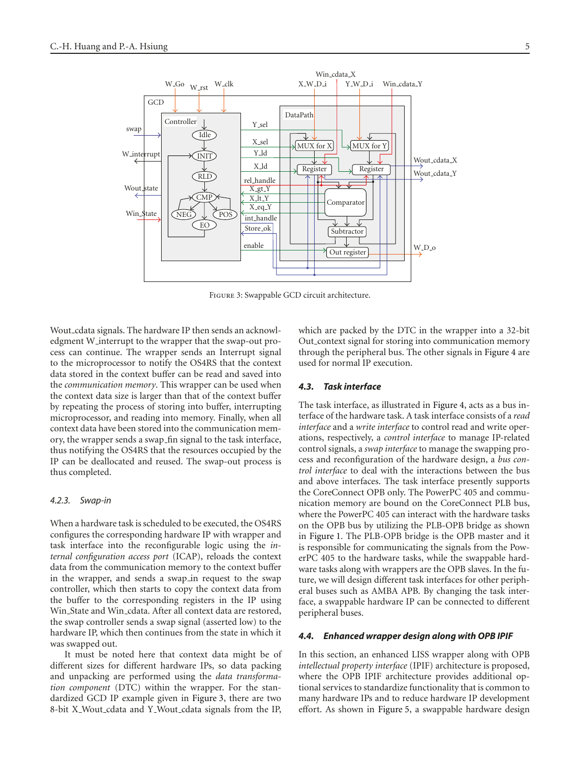

Figure 3: Swappable GCD circuit architecture.

Wout cdata signals. The hardware IP then sends an acknowledgment W interrupt to the wrapper that the swap-out process can continue. The wrapper sends an Interrupt signal to the microprocessor to notify the OS4RS that the context data stored in the context buffer can be read and saved into the *communication memory*. This wrapper can be used when the context data size is larger than that of the context buffer by repeating the process of storing into buffer, interrupting microprocessor, and reading into memory. Finally, when all context data have been stored into the communication memory, the wrapper sends a swap\_fin signal to the task interface, thus notifying the OS4RS that the resources occupied by the IP can be deallocated and reused. The swap-out process is thus completed.

#### *4.2.3. Swap-in*

When a hardware task is scheduled to be executed, the OS4RS configures the corresponding hardware IP with wrapper and task interface into the reconfigurable logic using the *internal configuration access port* (ICAP), reloads the context data from the communication memory to the context buffer in the wrapper, and sends a swap in request to the swap controller, which then starts to copy the context data from the buffer to the corresponding registers in the IP using Win State and Win cdata. After all context data are restored, the swap controller sends a swap signal (asserted low) to the hardware IP, which then continues from the state in which it was swapped out.

It must be noted here that context data might be of different sizes for different hardware IPs, so data packing and unpacking are performed using the *data transformation component* (DTC) within the wrapper. For the standardized GCD IP example given in Figure 3, there are two 8-bit X<sub>-</sub>Wout<sub>-cdata</sub> and Y<sub>-</sub>Wout<sub>-cdata</sub> signals from the IP,

which are packed by the DTC in the wrapper into a 32-bit Out context signal for storing into communication memory through the peripheral bus. The other signals in Figure 4 are used for normal IP execution.

# *4.3. Task interface*

The task interface, as illustrated in Figure 4, acts as a bus interface of the hardware task. A task interface consists of a *read interface* and a *write interface* to control read and write operations, respectively, a *control interface* to manage IP-related control signals, a *swap interface* to manage the swapping process and reconfiguration of the hardware design, a *bus control interface* to deal with the interactions between the bus and above interfaces. The task interface presently supports the CoreConnect OPB only. The PowerPC 405 and communication memory are bound on the CoreConnect PLB bus, where the PowerPC 405 can interact with the hardware tasks on the OPB bus by utilizing the PLB-OPB bridge as shown in Figure 1. The PLB-OPB bridge is the OPB master and it is responsible for communicating the signals from the PowerPC 405 to the hardware tasks, while the swappable hardware tasks along with wrappers are the OPB slaves. In the future, we will design different task interfaces for other peripheral buses such as AMBA APB. By changing the task interface, a swappable hardware IP can be connected to different peripheral buses.

## *4.4. Enhanced wrapper design along with OPB IPIF*

In this section, an enhanced LISS wrapper along with OPB *intellectual property interface* (IPIF) architecture is proposed, where the OPB IPIF architecture provides additional optional services to standardize functionality that is common to many hardware IPs and to reduce hardware IP development effort. As shown in Figure 5, a swappable hardware design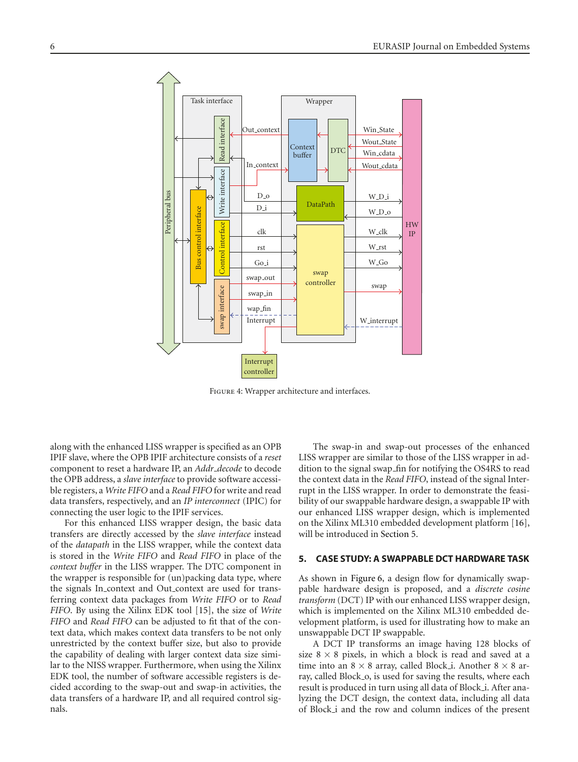

Figure 4: Wrapper architecture and interfaces.

along with the enhanced LISS wrapper is specified as an OPB IPIF slave, where the OPB IPIF architecture consists of a *reset* component to reset a hardware IP, an *Addr decode* to decode the OPB address, a *slave interface* to provide software accessible registers, a *Write FIFO* and a *Read FIFO* for write and read data transfers, respectively, and an *IP interconnect* (IPIC) for connecting the user logic to the IPIF services.

For this enhanced LISS wrapper design, the basic data transfers are directly accessed by the *slave interface* instead of the *datapath* in the LISS wrapper, while the context data is stored in the *Write FIFO* and *Read FIFO* in place of the *context buffer* in the LISS wrapper. The DTC component in the wrapper is responsible for (un)packing data type, where the signals In context and Out context are used for transferring context data packages from *Write FIFO* or to *Read FIFO*. By using the Xilinx EDK tool [15], the size of *Write FIFO* and *Read FIFO* can be adjusted to fit that of the context data, which makes context data transfers to be not only unrestricted by the context buffer size, but also to provide the capability of dealing with larger context data size similar to the NISS wrapper. Furthermore, when using the Xilinx EDK tool, the number of software accessible registers is decided according to the swap-out and swap-in activities, the data transfers of a hardware IP, and all required control signals.

The swap-in and swap-out processes of the enhanced LISS wrapper are similar to those of the LISS wrapper in addition to the signal swap fin for notifying the OS4RS to read the context data in the *Read FIFO*, instead of the signal Interrupt in the LISS wrapper. In order to demonstrate the feasibility of our swappable hardware design, a swappable IP with our enhanced LISS wrapper design, which is implemented on the Xilinx ML310 embedded development platform [16], will be introduced in Section 5.

# **5. CASE STUDY: A SWAPPABLE DCT HARDWARE TASK**

As shown in Figure 6, a design flow for dynamically swappable hardware design is proposed, and a *discrete cosine transform* (DCT) IP with our enhanced LISS wrapper design, which is implemented on the Xilinx ML310 embedded development platform, is used for illustrating how to make an unswappable DCT IP swappable.

A DCT IP transforms an image having 128 blocks of size  $8 \times 8$  pixels, in which a block is read and saved at a time into an  $8 \times 8$  array, called Block\_i. Another  $8 \times 8$  array, called Block o, is used for saving the results, where each result is produced in turn using all data of Block i. After analyzing the DCT design, the context data, including all data of Block i and the row and column indices of the present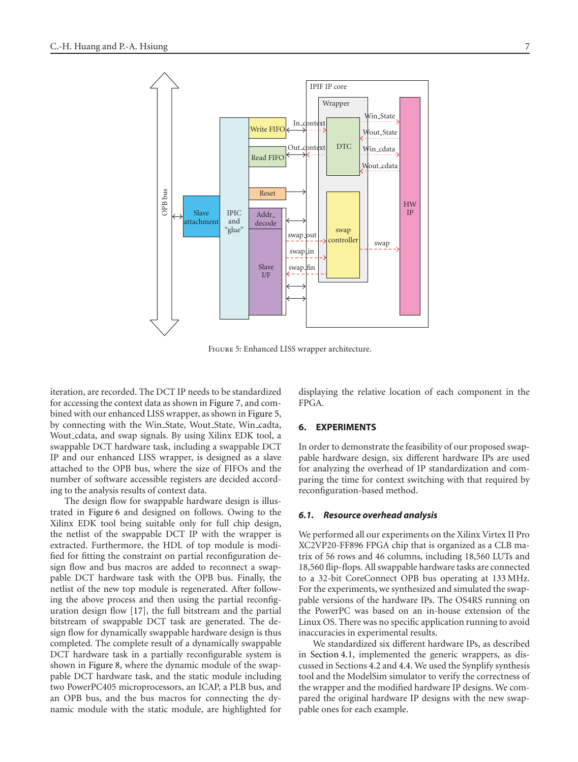

Figure 5: Enhanced LISS wrapper architecture.

iteration, are recorded. The DCT IP needs to be standardized for accessing the context data as shown in Figure 7, and combined with our enhanced LISS wrapper, as shown in Figure 5, by connecting with the Win State, Wout State, Win cadta, Wout cdata, and swap signals. By using Xilinx EDK tool, a swappable DCT hardware task, including a swappable DCT IP and our enhanced LISS wrapper, is designed as a slave attached to the OPB bus, where the size of FIFOs and the number of software accessible registers are decided according to the analysis results of context data.

The design flow for swappable hardware design is illustrated in Figure 6 and designed on follows. Owing to the Xilinx EDK tool being suitable only for full chip design, the netlist of the swappable DCT IP with the wrapper is extracted. Furthermore, the HDL of top module is modified for fitting the constraint on partial reconfiguration design flow and bus macros are added to reconnect a swappable DCT hardware task with the OPB bus. Finally, the netlist of the new top module is regenerated. After following the above process and then using the partial reconfiguration design flow [17], the full bitstream and the partial bitstream of swappable DCT task are generated. The design flow for dynamically swappable hardware design is thus completed. The complete result of a dynamically swappable DCT hardware task in a partially reconfigurable system is shown in Figure 8, where the dynamic module of the swappable DCT hardware task, and the static module including two PowerPC405 microprocessors, an ICAP, a PLB bus, and an OPB bus, and the bus macros for connecting the dynamic module with the static module, are highlighted for displaying the relative location of each component in the FPGA.

# **6. EXPERIMENTS**

In order to demonstrate the feasibility of our proposed swappable hardware design, six different hardware IPs are used for analyzing the overhead of IP standardization and comparing the time for context switching with that required by reconfiguration-based method.

#### *6.1. Resource overhead analysis*

We performed all our experiments on the Xilinx Virtex II Pro XC2VP20-FF896 FPGA chip that is organized as a CLB matrix of 56 rows and 46 columns, including 18,560 LUTs and 18,560 flip-flops. All swappable hardware tasks are connected to a 32-bit CoreConnect OPB bus operating at 133 MHz. For the experiments, we synthesized and simulated the swappable versions of the hardware IPs. The OS4RS running on the PowerPC was based on an in-house extension of the Linux OS. There was no specific application running to avoid inaccuracies in experimental results.

We standardized six different hardware IPs, as described in Section 4.1, implemented the generic wrappers, as discussed in Sections 4.2 and 4.4. We used the Synplify synthesis tool and the ModelSim simulator to verify the correctness of the wrapper and the modified hardware IP designs. We compared the original hardware IP designs with the new swappable ones for each example.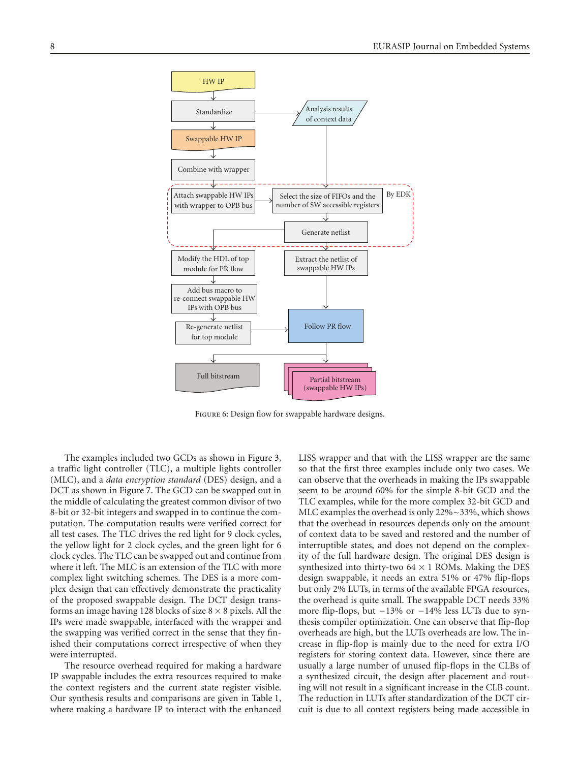

Figure 6: Design flow for swappable hardware designs.

The examples included two GCDs as shown in Figure 3, a traffic light controller (TLC), a multiple lights controller (MLC), and a *data encryption standard* (DES) design, and a DCT as shown in Figure 7. The GCD can be swapped out in the middle of calculating the greatest common divisor of two 8-bit or 32-bit integers and swapped in to continue the computation. The computation results were verified correct for all test cases. The TLC drives the red light for 9 clock cycles, the yellow light for 2 clock cycles, and the green light for 6 clock cycles. The TLC can be swapped out and continue from where it left. The MLC is an extension of the TLC with more complex light switching schemes. The DES is a more complex design that can effectively demonstrate the practicality of the proposed swappable design. The DCT design transforms an image having 128 blocks of size  $8 \times 8$  pixels. All the IPs were made swappable, interfaced with the wrapper and the swapping was verified correct in the sense that they finished their computations correct irrespective of when they were interrupted.

The resource overhead required for making a hardware IP swappable includes the extra resources required to make the context registers and the current state register visible. Our synthesis results and comparisons are given in Table 1, where making a hardware IP to interact with the enhanced LISS wrapper and that with the LISS wrapper are the same so that the first three examples include only two cases. We can observe that the overheads in making the IPs swappable seem to be around 60% for the simple 8-bit GCD and the TLC examples, while for the more complex 32-bit GCD and MLC examples the overhead is only 22%∼33%, which shows that the overhead in resources depends only on the amount of context data to be saved and restored and the number of interruptible states, and does not depend on the complexity of the full hardware design. The original DES design is synthesized into thirty-two  $64 \times 1$  ROMs. Making the DES design swappable, it needs an extra 51% or 47% flip-flops but only 2% LUTs, in terms of the available FPGA resources, the overhead is quite small. The swappable DCT needs 33% more flip-flops, but −13% or −14% less LUTs due to synthesis compiler optimization. One can observe that flip-flop overheads are high, but the LUTs overheads are low. The increase in flip-flop is mainly due to the need for extra I/O registers for storing context data. However, since there are usually a large number of unused flip-flops in the CLBs of a synthesized circuit, the design after placement and routing will not result in a significant increase in the CLB count. The reduction in LUTs after standardization of the DCT circuit is due to all context registers being made accessible in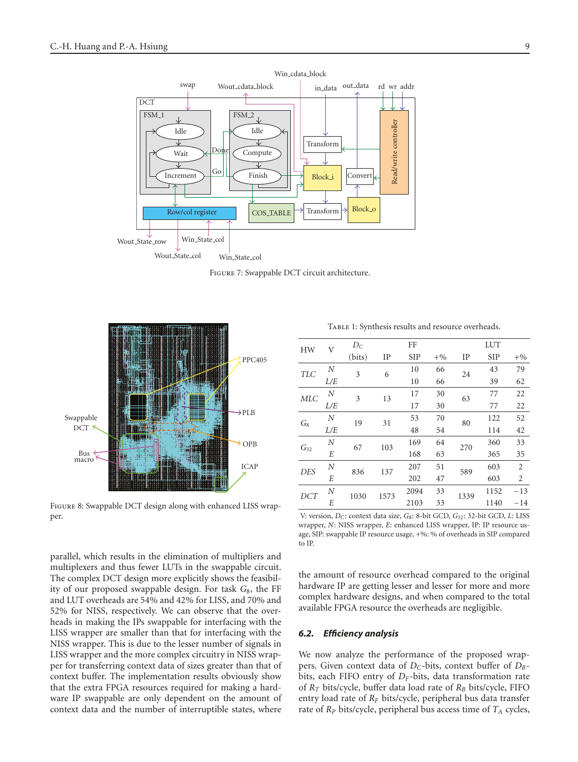

Figure 7: Swappable DCT circuit architecture.



Figure 8: Swappable DCT design along with enhanced LISS wrapper.

parallel, which results in the elimination of multipliers and multiplexers and thus fewer LUTs in the swappable circuit. The complex DCT design more explicitly shows the feasibility of our proposed swappable design. For task  $G_8$ , the FF and LUT overheads are 54% and 42% for LISS, and 70% and 52% for NISS, respectively. We can observe that the overheads in making the IPs swappable for interfacing with the LISS wrapper are smaller than that for interfacing with the NISS wrapper. This is due to the lesser number of signals in LISS wrapper and the more complex circuitry in NISS wrapper for transferring context data of sizes greater than that of context buffer. The implementation results obviously show that the extra FPGA resources required for making a hardware IP swappable are only dependent on the amount of context data and the number of interruptible states, where

TABLE 1: Synthesis results and resource overheads.

| <b>HW</b>  | V                | $D_{C}$ |      | FF         |       | <b>LUT</b> |            |       |  |
|------------|------------------|---------|------|------------|-------|------------|------------|-------|--|
|            |                  | (bits)  | IP   | <b>SIP</b> | $+$ % | IP         | <b>SIP</b> | $+$ % |  |
| <b>TLC</b> | N                | 3       | 6    | 10         | 66    | 24         | 43         | 79    |  |
|            | L/E              |         |      | 10         | 66    |            | 39         | 62    |  |
| <b>MLC</b> | N                | 3       | 13   | 17         | 30    | 63         | 77         | 22    |  |
|            | L/E              |         |      | 17         | 30    |            | 77         | 22    |  |
| $G_8$      | $\overline{N}$   | 19      | 31   | 53         | 70    | 80         | 122        | 52    |  |
|            | L/E              |         |      | 48         | 54    |            | 114        | 42    |  |
| $G_{32}$   | $\boldsymbol{N}$ | 67      | 103  | 169        | 64    | 270        | 360        | 33    |  |
|            | E                |         |      | 168        | 63    |            | 365        | 35    |  |
| DES        | $\boldsymbol{N}$ | 836     | 137  | 207        | 51    | 589        | 603        | 2     |  |
|            | E                |         |      | 202        | 47    |            | 603        | 2     |  |
| DCT        | N                | 1030    | 1573 | 2094       | 33    | 1339       | 1152       | $-13$ |  |
|            | Е                |         |      | 2103       | 33    |            | 1140       | $-14$ |  |

V: version, *DC*: context data size, *G*8: 8-bit GCD, *G*32: 32-bit GCD, *L*: LISS wrapper, *N*: NISS wrapper, *E*: enhanced LISS wrapper, IP: IP resource usage, SIP: swappable IP resource usage, +%: % of overheads in SIP compared to IP.

the amount of resource overhead compared to the original hardware IP are getting lesser and lesser for more and more complex hardware designs, and when compared to the total available FPGA resource the overheads are negligible.

#### *6.2. Efficiency analysis*

We now analyze the performance of the proposed wrappers. Given context data of *DC*-bits, context buffer of *DB*bits, each FIFO entry of *D<sub>F</sub>*-bits, data transformation rate of *RT* bits/cycle, buffer data load rate of *RB* bits/cycle, FIFO entry load rate of *RF* bits/cycle, peripheral bus data transfer rate of *RP* bits/cycle, peripheral bus access time of *TA* cycles,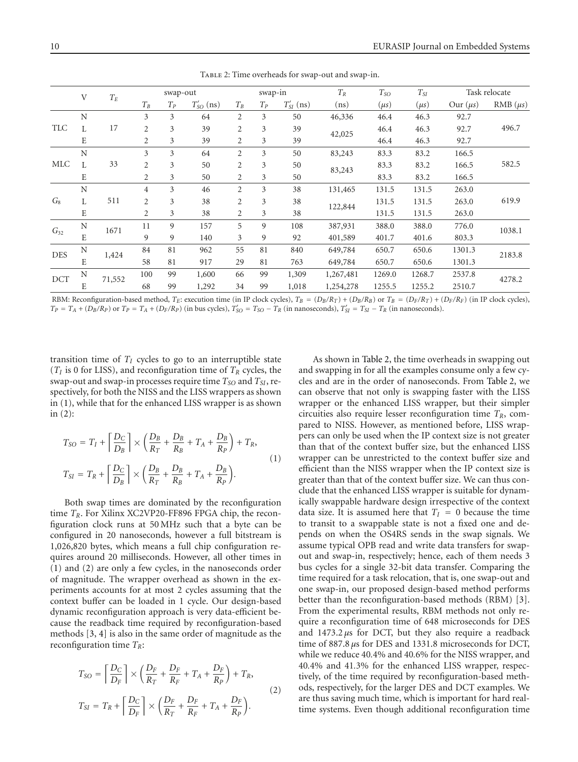|            | V | $T_{\mathcal E}$ |                | swap-out |                | swap-in        |         | $T_R$                  | $T_{SO}$  | $T_{SI}$  | Task relocate |                   |              |
|------------|---|------------------|----------------|----------|----------------|----------------|---------|------------------------|-----------|-----------|---------------|-------------------|--------------|
|            |   |                  | $T_B$          | $T_P$    | $T'_{SO}$ (ns) | $T_B$          | $T_{P}$ | $T_{SI}^{\prime}$ (ns) | (ns)      | $(\mu s)$ | $(\mu s)$     | Our ( <i>u</i> s) | $RMB(\mu s)$ |
| TLC        | N | 17               | 3              | 3        | 64             | $\overline{2}$ | 3       | 50                     | 46,336    | 46.4      | 46.3          | 92.7              | 496.7        |
|            |   |                  | $\overline{2}$ | 3        | 39             | $\overline{2}$ | 3       | 39                     | 42,025    | 46.4      | 46.3          | 92.7              |              |
|            | E |                  | 2              | 3        | 39             | $\overline{2}$ | 3       | 39                     |           | 46.4      | 46.3          | 92.7              |              |
| MLC        | N | 33               | 3              | 3        | 64             | 2              | 3       | 50                     | 83,243    | 83.3      | 83.2          | 166.5             | 582.5        |
|            |   |                  | $\overline{2}$ | 3        | 50             | $\overline{2}$ | 3       | 50                     | 83,243    | 83.3      | 83.2          | 166.5             |              |
|            | E |                  | $\overline{2}$ | 3        | 50             | 2              | 3       | 50                     |           | 83.3      | 83.2          | 166.5             |              |
| $G_8$      | N |                  | 4              | 3        | 46             | 2              | 3       | 38                     | 131,465   | 131.5     | 131.5         | 263.0             | 619.9        |
|            | L | 511              | $\overline{c}$ | 3        | 38             | $\overline{2}$ | 3       | 38                     | 122,844   | 131.5     | 131.5         | 263.0             |              |
|            | E |                  | 2              | 3        | 38             | 2              | 3       | 38                     |           | 131.5     | 131.5         | 263.0             |              |
| $G_{32}$   | N | 1671             | 11             | 9        | 157            | 5              | 9       | 108                    | 387,931   | 388.0     | 388.0         | 776.0             | 1038.1       |
|            | E |                  | 9              | 9        | 140            | 3              | 9       | 92                     | 401,589   | 401.7     | 401.6         | 803.3             |              |
| <b>DES</b> | N | 1,424            | 84             | 81       | 962            | 55             | 81      | 840                    | 649,784   | 650.7     | 650.6         | 1301.3            | 2183.8       |
|            | E |                  | 58             | 81       | 917            | 29             | 81      | 763                    | 649,784   | 650.7     | 650.6         | 1301.3            |              |
| <b>DCT</b> | N |                  | 100            | 99       | 1,600          | 66             | 99      | 1,309                  | 1,267,481 | 1269.0    | 1268.7        | 2537.8            | 4278.2       |
|            | E | 71,552           | 68             | 99       | 1,292          | 34             | 99      | 1,018                  | 1,254,278 | 1255.5    | 1255.2        | 2510.7            |              |
|            |   |                  |                |          |                |                |         |                        |           |           |               |                   |              |

Table 2: Time overheads for swap-out and swap-in.

RBM: Reconfiguration-based method, *T<sub>E</sub>*: execution time (in IP clock cycles),  $T_B = (D_B/R_T) + (D_B/R_B)$  or  $T_B = (D_F/R_T) + (D_F/R_F)$  (in IP clock cycles),  $T_P = T_A + (D_B/R_P)$  or  $T_P = T_A + (D_F/R_P)$  (in bus cycles),  $T_{SO}' = T_{SO} - T_R$  (in nanoseconds),  $T_{SI}' = T_{SI} - T_R$  (in nanoseconds).

transition time of  $T_I$  cycles to go to an interruptible state  $(T_I$  is 0 for LISS), and reconfiguration time of  $T_R$  cycles, the swap-out and swap-in processes require time  $T_{SO}$  and  $T_{SI}$ , respectively, for both the NISS and the LISS wrappers as shown in (1), while that for the enhanced LISS wrapper is as shown in (2):

$$
T_{SO} = T_I + \left\lceil \frac{D_C}{D_B} \right\rceil \times \left( \frac{D_B}{R_T} + \frac{D_B}{R_B} + T_A + \frac{D_B}{R_P} \right) + T_R,
$$
  
\n
$$
T_{SI} = T_R + \left\lceil \frac{D_C}{D_B} \right\rceil \times \left( \frac{D_B}{R_T} + \frac{D_B}{R_B} + T_A + \frac{D_B}{R_P} \right).
$$
\n(1)

Both swap times are dominated by the reconfiguration time *T<sub>R</sub>*. For Xilinx XC2VP20-FF896 FPGA chip, the reconfiguration clock runs at 50 MHz such that a byte can be configured in 20 nanoseconds, however a full bitstream is 1,026,820 bytes, which means a full chip configuration requires around 20 milliseconds. However, all other times in (1) and (2) are only a few cycles, in the nanoseconds order of magnitude. The wrapper overhead as shown in the experiments accounts for at most 2 cycles assuming that the context buffer can be loaded in 1 cycle. Our design-based dynamic reconfiguration approach is very data-efficient because the readback time required by reconfiguration-based methods [3, 4] is also in the same order of magnitude as the reconfiguration time *TR*:

$$
T_{SO} = \left\lceil \frac{D_C}{D_F} \right\rceil \times \left( \frac{D_F}{R_T} + \frac{D_F}{R_F} + T_A + \frac{D_F}{R_P} \right) + T_R,
$$
  
\n
$$
T_{SI} = T_R + \left\lceil \frac{D_C}{D_F} \right\rceil \times \left( \frac{D_F}{R_T} + \frac{D_F}{R_F} + T_A + \frac{D_F}{R_P} \right).
$$
\n(2)

As shown in Table 2, the time overheads in swapping out and swapping in for all the examples consume only a few cycles and are in the order of nanoseconds. From Table 2, we can observe that not only is swapping faster with the LISS wrapper or the enhanced LISS wrapper, but their simpler circuities also require lesser reconfiguration time  $T_R$ , compared to NISS. However, as mentioned before, LISS wrappers can only be used when the IP context size is not greater than that of the context buffer size, but the enhanced LISS wrapper can be unrestricted to the context buffer size and efficient than the NISS wrapper when the IP context size is greater than that of the context buffer size. We can thus conclude that the enhanced LISS wrapper is suitable for dynamically swappable hardware design irrespective of the context data size. It is assumed here that  $T_I = 0$  because the time to transit to a swappable state is not a fixed one and depends on when the OS4RS sends in the swap signals. We assume typical OPB read and write data transfers for swapout and swap-in, respectively; hence, each of them needs 3 bus cycles for a single 32-bit data transfer. Comparing the time required for a task relocation, that is, one swap-out and one swap-in, our proposed design-based method performs better than the reconfiguration-based methods (RBM) [3]. From the experimental results, RBM methods not only require a reconfiguration time of 648 microseconds for DES and 1473.2 *µ*s for DCT, but they also require a readback time of 887.8 *µ*s for DES and 1331.8 microseconds for DCT, while we reduce 40*.*4% and 40*.*6% for the NISS wrapper, and 40*.*4% and 41*.*3% for the enhanced LISS wrapper, respectively, of the time required by reconfiguration-based methods, respectively, for the larger DES and DCT examples. We are thus saving much time, which is important for hard realtime systems. Even though additional reconfiguration time